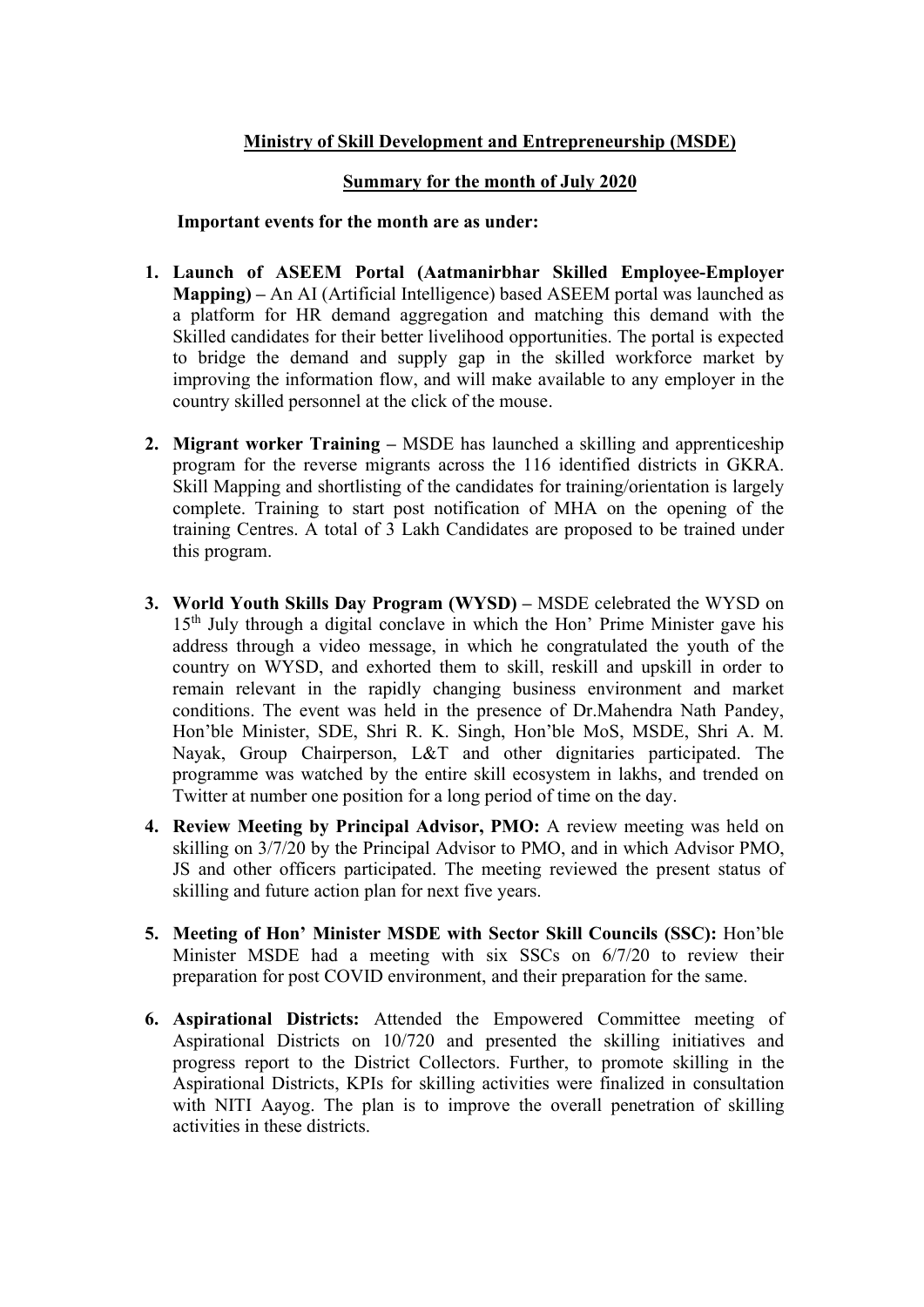## Ministry of Skill Development and Entrepreneurship (MSDE)

## Summary for the month of July 2020

## Important events for the month are as under:

- 1. Launch of ASEEM Portal (Aatmanirbhar Skilled Employee-Employer Mapping) – An AI (Artificial Intelligence) based ASEEM portal was launched as a platform for HR demand aggregation and matching this demand with the Skilled candidates for their better livelihood opportunities. The portal is expected to bridge the demand and supply gap in the skilled workforce market by improving the information flow, and will make available to any employer in the country skilled personnel at the click of the mouse.
- 2. Migrant worker Training MSDE has launched a skilling and apprenticeship program for the reverse migrants across the 116 identified districts in GKRA. Skill Mapping and shortlisting of the candidates for training/orientation is largely complete. Training to start post notification of MHA on the opening of the training Centres. A total of 3 Lakh Candidates are proposed to be trained under this program.
- 3. World Youth Skills Day Program (WYSD) MSDE celebrated the WYSD on  $15<sup>th</sup>$  July through a digital conclave in which the Hon' Prime Minister gave his address through a video message, in which he congratulated the youth of the country on WYSD, and exhorted them to skill, reskill and upskill in order to remain relevant in the rapidly changing business environment and market conditions. The event was held in the presence of Dr.Mahendra Nath Pandey, Hon'ble Minister, SDE, Shri R. K. Singh, Hon'ble MoS, MSDE, Shri A. M. Nayak, Group Chairperson, L&T and other dignitaries participated. The programme was watched by the entire skill ecosystem in lakhs, and trended on Twitter at number one position for a long period of time on the day.
- 4. Review Meeting by Principal Advisor, PMO: A review meeting was held on skilling on 3/7/20 by the Principal Advisor to PMO, and in which Advisor PMO, JS and other officers participated. The meeting reviewed the present status of skilling and future action plan for next five years.
- 5. Meeting of Hon' Minister MSDE with Sector Skill Councils (SSC): Hon'ble Minister MSDE had a meeting with six SSCs on 6/7/20 to review their preparation for post COVID environment, and their preparation for the same.
- 6. Aspirational Districts: Attended the Empowered Committee meeting of Aspirational Districts on 10/720 and presented the skilling initiatives and progress report to the District Collectors. Further, to promote skilling in the Aspirational Districts, KPIs for skilling activities were finalized in consultation with NITI Aayog. The plan is to improve the overall penetration of skilling activities in these districts.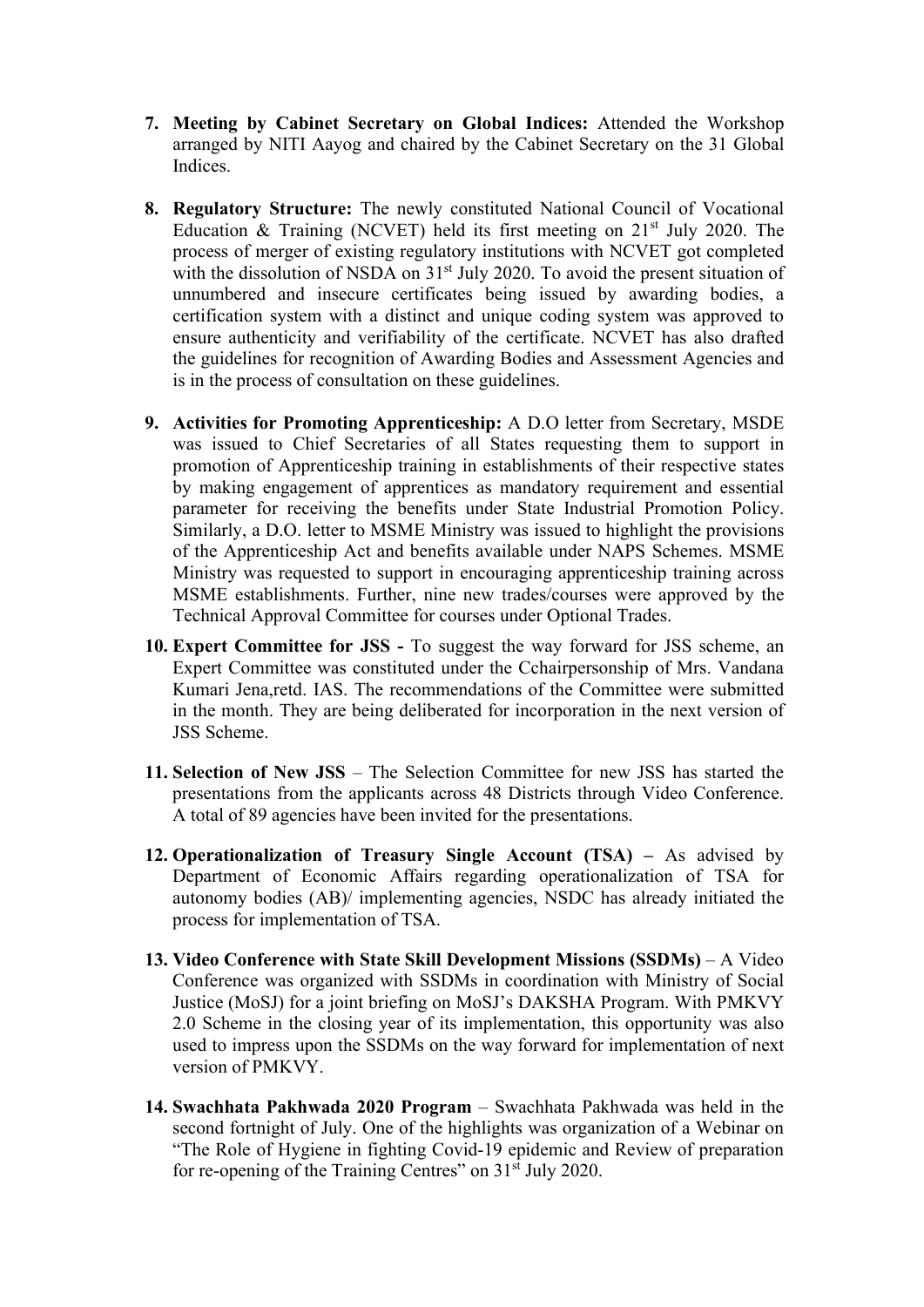- 7. Meeting by Cabinet Secretary on Global Indices: Attended the Workshop arranged by NITI Aayog and chaired by the Cabinet Secretary on the 31 Global Indices.
- 8. Regulatory Structure: The newly constituted National Council of Vocational Education  $\&$  Training (NCVET) held its first meeting on 21<sup>st</sup> July 2020. The process of merger of existing regulatory institutions with NCVET got completed with the dissolution of NSDA on  $31<sup>st</sup>$  July 2020. To avoid the present situation of unnumbered and insecure certificates being issued by awarding bodies, a certification system with a distinct and unique coding system was approved to ensure authenticity and verifiability of the certificate. NCVET has also drafted the guidelines for recognition of Awarding Bodies and Assessment Agencies and is in the process of consultation on these guidelines.
- 9. Activities for Promoting Apprenticeship: A D.O letter from Secretary, MSDE was issued to Chief Secretaries of all States requesting them to support in promotion of Apprenticeship training in establishments of their respective states by making engagement of apprentices as mandatory requirement and essential parameter for receiving the benefits under State Industrial Promotion Policy. Similarly, a D.O. letter to MSME Ministry was issued to highlight the provisions of the Apprenticeship Act and benefits available under NAPS Schemes. MSME Ministry was requested to support in encouraging apprenticeship training across MSME establishments. Further, nine new trades/courses were approved by the Technical Approval Committee for courses under Optional Trades.
- 10. Expert Committee for JSS To suggest the way forward for JSS scheme, an Expert Committee was constituted under the Cchairpersonship of Mrs. Vandana Kumari Jena,retd. IAS. The recommendations of the Committee were submitted in the month. They are being deliberated for incorporation in the next version of JSS Scheme.
- 11. Selection of New JSS The Selection Committee for new JSS has started the presentations from the applicants across 48 Districts through Video Conference. A total of 89 agencies have been invited for the presentations.
- 12. Operationalization of Treasury Single Account (TSA) As advised by Department of Economic Affairs regarding operationalization of TSA for autonomy bodies (AB)/ implementing agencies, NSDC has already initiated the process for implementation of TSA.
- 13. Video Conference with State Skill Development Missions (SSDMs) A Video Conference was organized with SSDMs in coordination with Ministry of Social Justice (MoSJ) for a joint briefing on MoSJ's DAKSHA Program. With PMKVY 2.0 Scheme in the closing year of its implementation, this opportunity was also used to impress upon the SSDMs on the way forward for implementation of next version of PMKVY.
- 14. Swachhata Pakhwada 2020 Program Swachhata Pakhwada was held in the second fortnight of July. One of the highlights was organization of a Webinar on "The Role of Hygiene in fighting Covid-19 epidemic and Review of preparation for re-opening of the Training Centres" on 31<sup>st</sup> July 2020.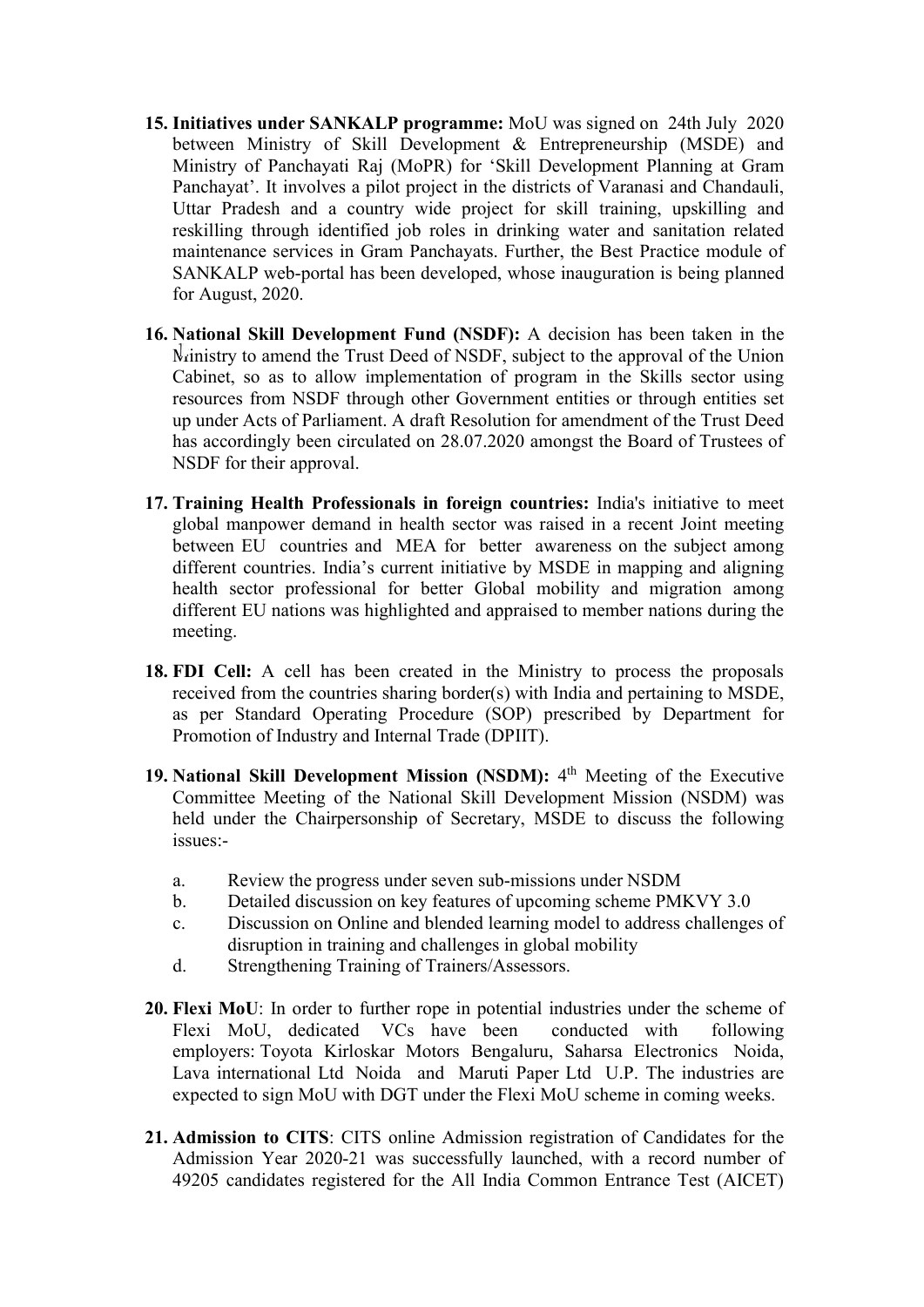- 15. Initiatives under SANKALP programme: MoU was signed on 24th July 2020 between Ministry of Skill Development & Entrepreneurship (MSDE) and Ministry of Panchayati Raj (MoPR) for 'Skill Development Planning at Gram Panchayat'. It involves a pilot project in the districts of Varanasi and Chandauli, Uttar Pradesh and a country wide project for skill training, upskilling and reskilling through identified job roles in drinking water and sanitation related maintenance services in Gram Panchayats. Further, the Best Practice module of SANKALP web-portal has been developed, whose inauguration is being planned for August, 2020.
- 16. National Skill Development Fund (NSDF): A decision has been taken in the Ministry to amend the Trust Deed of NSDF, subject to the approval of the Union Cabinet, so as to allow implementation of program in the Skills sector using resources from NSDF through other Government entities or through entities set up under Acts of Parliament. A draft Resolution for amendment of the Trust Deed has accordingly been circulated on 28.07.2020 amongst the Board of Trustees of NSDF for their approval.
- 17. Training Health Professionals in foreign countries: India's initiative to meet global manpower demand in health sector was raised in a recent Joint meeting between EU countries and MEA for better awareness on the subject among different countries. India's current initiative by MSDE in mapping and aligning health sector professional for better Global mobility and migration among different EU nations was highlighted and appraised to member nations during the meeting.
- 18. FDI Cell: A cell has been created in the Ministry to process the proposals received from the countries sharing border(s) with India and pertaining to MSDE, as per Standard Operating Procedure (SOP) prescribed by Department for Promotion of Industry and Internal Trade (DPIIT).
- 19. National Skill Development Mission (NSDM): 4<sup>th</sup> Meeting of the Executive Committee Meeting of the National Skill Development Mission (NSDM) was held under the Chairpersonship of Secretary, MSDE to discuss the following issues:
	- a. Review the progress under seven sub-missions under NSDM
	- b. Detailed discussion on key features of upcoming scheme PMKVY 3.0
	- c. Discussion on Online and blended learning model to address challenges of disruption in training and challenges in global mobility
	- d. Strengthening Training of Trainers/Assessors.
- 20. Flexi MoU: In order to further rope in potential industries under the scheme of Flexi MoU, dedicated VCs have been conducted with following employers: Toyota Kirloskar Motors Bengaluru, Saharsa Electronics Noida, Lava international Ltd Noida and Maruti Paper Ltd U.P. The industries are expected to sign MoU with DGT under the Flexi MoU scheme in coming weeks.
- 21. Admission to CITS: CITS online Admission registration of Candidates for the Admission Year 2020-21 was successfully launched, with a record number of 49205 candidates registered for the All India Common Entrance Test (AICET)